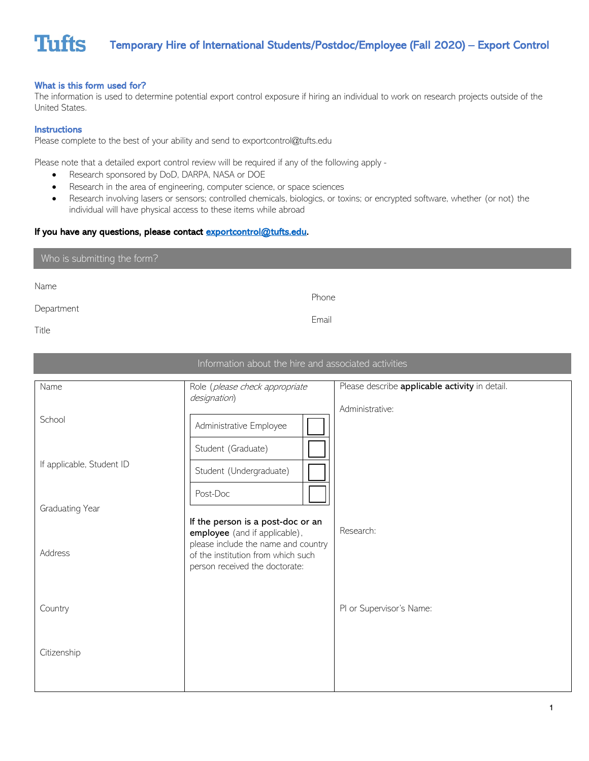## What is this form used for?

The information is used to determine potential export control exposure if hiring an individual to work on research projects outside of the United States.

#### **Instructions**

Please complete to the best of your ability and send to exportcontrol@tufts.edu

Please note that a detailed export control review will be required if any of the following apply -

- Research sponsored by DoD, DARPA, NASA or DOE
- Research in the area of engineering, computer science, or space sciences
- Research involving lasers or sensors; controlled chemicals, biologics, or toxins; or encrypted software, whether (or not) the individual will have physical access to these items while abroad

### If you have any questions, please contact [exportcontrol@tufts.edu.](mailto:exportcontrol@tufts.edu)

### Who is submitting the form?

Name

Department

Phone

Email

Title

| Information about the hire and associated activities |                                                                                                                                                                                   |                                                                   |  |  |  |  |
|------------------------------------------------------|-----------------------------------------------------------------------------------------------------------------------------------------------------------------------------------|-------------------------------------------------------------------|--|--|--|--|
| Name<br>School                                       | Role (please check appropriate<br>designation)<br>Administrative Employee                                                                                                         | Please describe applicable activity in detail.<br>Administrative: |  |  |  |  |
| If applicable, Student ID                            | Student (Graduate)<br>Student (Undergraduate)<br>Post-Doc                                                                                                                         |                                                                   |  |  |  |  |
| Graduating Year                                      |                                                                                                                                                                                   |                                                                   |  |  |  |  |
| <b>Address</b>                                       | If the person is a post-doc or an<br>employee (and if applicable),<br>please include the name and country<br>of the institution from which such<br>person received the doctorate: | Research:                                                         |  |  |  |  |
| Country                                              |                                                                                                                                                                                   | PI or Supervisor's Name:                                          |  |  |  |  |
| Citizenship                                          |                                                                                                                                                                                   |                                                                   |  |  |  |  |